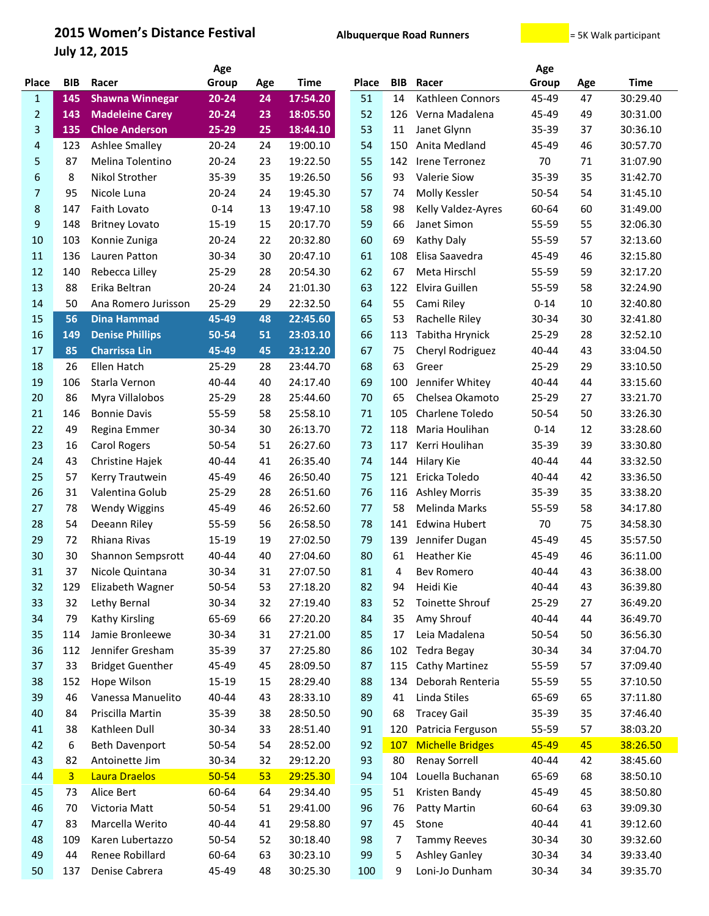## **2015 Women's Distance Festival Albuquerque Road Runners Example 2015 Women's Distance Festival**

**July 12, 2015**

|                  |                | Age                     |           |     |             |              | Age        |                         |          |     |             |
|------------------|----------------|-------------------------|-----------|-----|-------------|--------------|------------|-------------------------|----------|-----|-------------|
| <b>Place</b>     | <b>BIB</b>     | Racer                   | Group     | Age | <b>Time</b> | <b>Place</b> | <b>BIB</b> | Racer                   | Group    | Age | <b>Time</b> |
| $\mathbf{1}$     | 145            | <b>Shawna Winnegar</b>  | $20 - 24$ | 24  | 17:54.20    | 51           | 14         | Kathleen Connors        | 45-49    | 47  | 30:29.40    |
| 2                | 143            | <b>Madeleine Carey</b>  | 20-24     | 23  | 18:05.50    | 52           | 126        | Verna Madalena          | 45-49    | 49  | 30:31.00    |
| 3                | 135            | <b>Chloe Anderson</b>   | 25-29     | 25  | 18:44.10    | 53           | 11         | Janet Glynn             | 35-39    | 37  | 30:36.10    |
| 4                | 123            | <b>Ashlee Smalley</b>   | $20 - 24$ | 24  | 19:00.10    | 54           | 150        | Anita Medland           | 45-49    | 46  | 30:57.70    |
| 5                | 87             | Melina Tolentino        | $20 - 24$ | 23  | 19:22.50    | 55           | 142        | Irene Terronez          | 70       | 71  | 31:07.90    |
| 6                | 8              | Nikol Strother          | 35-39     | 35  | 19:26.50    | 56           | 93         | <b>Valerie Siow</b>     | 35-39    | 35  | 31:42.70    |
| $\overline{7}$   | 95             | Nicole Luna             | $20 - 24$ | 24  | 19:45.30    | 57           | 74         | Molly Kessler           | 50-54    | 54  | 31:45.10    |
| 8                | 147            | <b>Faith Lovato</b>     | $0 - 14$  | 13  | 19:47.10    | 58           | 98         | Kelly Valdez-Ayres      | 60-64    | 60  | 31:49.00    |
| $\boldsymbol{9}$ | 148            | <b>Britney Lovato</b>   | 15-19     | 15  | 20:17.70    | 59           | 66         | Janet Simon             | 55-59    | 55  | 32:06.30    |
| 10               | 103            | Konnie Zuniga           | $20 - 24$ | 22  | 20:32.80    | 60           | 69         | Kathy Daly              | 55-59    | 57  | 32:13.60    |
| 11               | 136            | Lauren Patton           | 30-34     | 30  | 20:47.10    | 61           | 108        | Elisa Saavedra          | 45-49    | 46  | 32:15.80    |
| 12               | 140            | Rebecca Lilley          | 25-29     | 28  | 20:54.30    | 62           | 67         | Meta Hirschl            | 55-59    | 59  | 32:17.20    |
| 13               | 88             | Erika Beltran           | $20 - 24$ | 24  | 21:01.30    | 63           | 122        | Elvira Guillen          | 55-59    | 58  | 32:24.90    |
| 14               | 50             | Ana Romero Jurisson     | 25-29     | 29  | 22:32.50    | 64           | 55         | Cami Riley              | $0 - 14$ | 10  | 32:40.80    |
| 15               | 56             | <b>Dina Hammad</b>      | 45-49     | 48  | 22:45.60    | 65           | 53         | Rachelle Riley          | 30-34    | 30  | 32:41.80    |
| 16               | 149            | <b>Denise Phillips</b>  | 50-54     | 51  | 23:03.10    | 66           | 113        | Tabitha Hrynick         | 25-29    | 28  | 32:52.10    |
| 17               | 85             | <b>Charrissa Lin</b>    | 45-49     | 45  | 23:12.20    | 67           | 75         | Cheryl Rodriguez        | 40-44    | 43  | 33:04.50    |
| 18               | 26             | Ellen Hatch             | 25-29     | 28  | 23:44.70    | 68           | 63         | Greer                   | 25-29    | 29  | 33:10.50    |
| 19               | 106            | Starla Vernon           | 40-44     | 40  | 24:17.40    | 69           | 100        | Jennifer Whitey         | 40-44    | 44  | 33:15.60    |
| 20               | 86             | Myra Villalobos         | 25-29     | 28  | 25:44.60    | 70           | 65         | Chelsea Okamoto         | 25-29    | 27  | 33:21.70    |
| 21               | 146            | <b>Bonnie Davis</b>     | 55-59     | 58  | 25:58.10    | 71           | 105        | Charlene Toledo         | 50-54    | 50  | 33:26.30    |
| 22               | 49             | Regina Emmer            | 30-34     | 30  | 26:13.70    | 72           | 118        | Maria Houlihan          | $0 - 14$ | 12  | 33:28.60    |
| 23               | 16             | <b>Carol Rogers</b>     | 50-54     | 51  | 26:27.60    | 73           | 117        | Kerri Houlihan          | 35-39    | 39  | 33:30.80    |
| 24               | 43             | Christine Hajek         | 40-44     | 41  | 26:35.40    | 74           | 144        | Hilary Kie              | 40-44    | 44  | 33:32.50    |
| 25               | 57             | Kerry Trautwein         | 45-49     | 46  | 26:50.40    | 75           | 121        | Ericka Toledo           | 40-44    | 42  | 33:36.50    |
| 26               | 31             | Valentina Golub         | 25-29     | 28  | 26:51.60    | 76           | 116        | <b>Ashley Morris</b>    | 35-39    | 35  | 33:38.20    |
| 27               | 78             | <b>Wendy Wiggins</b>    | 45-49     | 46  | 26:52.60    | 77           | 58         | Melinda Marks           | 55-59    | 58  | 34:17.80    |
| 28               | 54             | Deeann Riley            | 55-59     | 56  | 26:58.50    | 78           | 141        | <b>Edwina Hubert</b>    | 70       | 75  | 34:58.30    |
| 29               | 72             | Rhiana Rivas            | 15-19     | 19  | 27:02.50    | 79           | 139        | Jennifer Dugan          | 45-49    | 45  | 35:57.50    |
| 30               | 30             | Shannon Sempsrott       | 40-44     | 40  | 27:04.60    | 80           | 61         | <b>Heather Kie</b>      | 45-49    | 46  | 36:11.00    |
| 31               | 37             | Nicole Quintana         | 30-34     | 31  | 27:07.50    | 81           | 4          | <b>Bev Romero</b>       | 40-44    | 43  | 36:38.00    |
| 32               | 129            | Elizabeth Wagner        | 50-54     | 53  | 27:18.20    | 82           | 94         | Heidi Kie               | 40-44    | 43  | 36:39.80    |
| 33               | 32             | Lethy Bernal            | 30-34     | 32  | 27:19.40    | 83           | 52         | Toinette Shrouf         | 25-29    | 27  | 36:49.20    |
| 34               | 79             | Kathy Kirsling          | 65-69     | 66  | 27:20.20    | 84           | 35         | Amy Shrouf              | 40-44    | 44  | 36:49.70    |
| 35               | 114            | Jamie Bronleewe         | 30-34     | 31  | 27:21.00    | 85           | 17         | Leia Madalena           | 50-54    | 50  | 36:56.30    |
| 36               | 112            | Jennifer Gresham        | 35-39     | 37  | 27:25.80    | 86           | 102        | <b>Tedra Begay</b>      | 30-34    | 34  | 37:04.70    |
| 37               | 33             | <b>Bridget Guenther</b> | 45-49     | 45  | 28:09.50    | 87           | 115        | Cathy Martinez          | 55-59    | 57  | 37:09.40    |
| 38               | 152            | Hope Wilson             | 15-19     | 15  | 28:29.40    | 88           | 134        | Deborah Renteria        | 55-59    | 55  | 37:10.50    |
| 39               | 46             | Vanessa Manuelito       | 40-44     | 43  | 28:33.10    | 89           | 41         | Linda Stiles            | 65-69    | 65  | 37:11.80    |
| 40               | 84             | Priscilla Martin        | 35-39     | 38  | 28:50.50    | 90           | 68         | <b>Tracey Gail</b>      | 35-39    | 35  | 37:46.40    |
| 41               | 38             | Kathleen Dull           | 30-34     | 33  | 28:51.40    | 91           | 120        | Patricia Ferguson       | 55-59    | 57  | 38:03.20    |
| 42               | 6              | <b>Beth Davenport</b>   | 50-54     | 54  | 28:52.00    | 92           | <b>107</b> | <b>Michelle Bridges</b> | 45-49    | 45  | 38:26.50    |
| 43               | 82             | Antoinette Jim          | 30-34     | 32  | 29:12.20    | 93           | 80         | <b>Renay Sorrell</b>    | 40-44    | 42  | 38:45.60    |
| 44               | $\overline{3}$ | Laura Draelos           | $50 - 54$ | 53  | 29:25.30    | 94           | 104        | Louella Buchanan        | 65-69    | 68  | 38:50.10    |
| 45               | 73             | Alice Bert              | 60-64     | 64  | 29:34.40    | 95           | 51         | Kristen Bandy           | 45-49    | 45  | 38:50.80    |
| 46               | 70             | Victoria Matt           | 50-54     | 51  | 29:41.00    | 96           | 76         | Patty Martin            | 60-64    | 63  | 39:09.30    |
| 47               | 83             | Marcella Werito         | 40-44     | 41  | 29:58.80    | 97           | 45         | Stone                   | 40-44    | 41  | 39:12.60    |
| 48               | 109            | Karen Lubertazzo        | 50-54     | 52  | 30:18.40    | 98           | 7          | <b>Tammy Reeves</b>     | 30-34    | 30  | 39:32.60    |
| 49               | 44             | Renee Robillard         | 60-64     | 63  | 30:23.10    | 99           | 5          | <b>Ashley Ganley</b>    | 30-34    | 34  | 39:33.40    |
| 50               | 137            | Denise Cabrera          | 45-49     | 48  | 30:25.30    | 100          | 9          | Loni-Jo Dunham          | 30-34    | 34  | 39:35.70    |